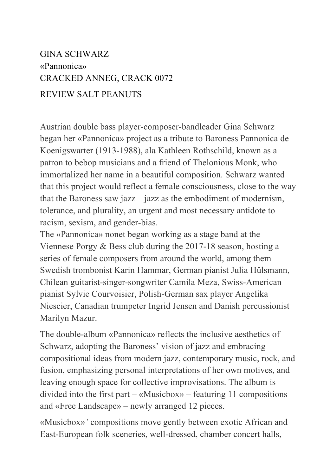## GINA SCHWARZ «Pannonica» CRACKED ANNEG, CRACK 0072 REVIEW SALT PEANUTS

Austrian double bass player-composer-bandleader Gina Schwarz began her «Pannonica» project as a tribute to Baroness Pannonica de Koenigswarter (1913-1988), ala Kathleen Rothschild, known as a patron to bebop musicians and a friend of Thelonious Monk, who immortalized her name in a beautiful composition. Schwarz wanted that this project would reflect a female consciousness, close to the way that the Baroness saw jazz – jazz as the embodiment of modernism, tolerance, and plurality, an urgent and most necessary antidote to racism, sexism, and gender-bias.

The «Pannonica» nonet began working as a stage band at the Viennese Porgy & Bess club during the 2017-18 season, hosting a series of female composers from around the world, among them Swedish trombonist Karin Hammar, German pianist Julia Hülsmann, Chilean guitarist-singer-songwriter Camila Meza, Swiss-American pianist Sylvie Courvoisier, Polish-German sax player Angelika Niescier, Canadian trumpeter Ingrid Jensen and Danish percussionist Marilyn Mazur.

The double-album «Pannonica» reflects the inclusive aesthetics of Schwarz, adopting the Baroness' vision of jazz and embracing compositional ideas from modern jazz, contemporary music, rock, and fusion, emphasizing personal interpretations of her own motives, and leaving enough space for collective improvisations. The album is divided into the first part – «Musicbox» – featuring 11 compositions and «Free Landscape» – newly arranged 12 pieces.

«Musicbox»*'* compositions move gently between exotic African and East-European folk sceneries, well-dressed, chamber concert halls,